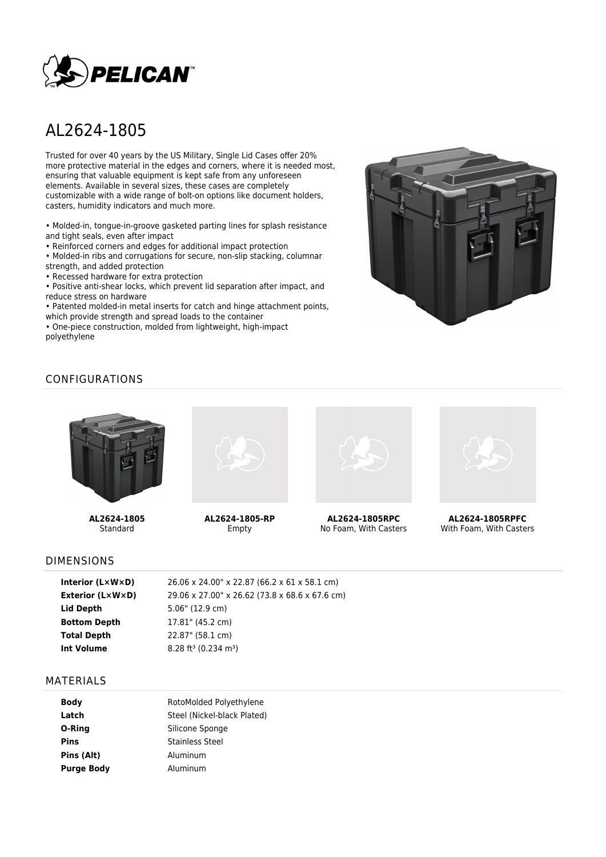

# AL2624-1805

Trusted for over 40 years by the US Military, Single Lid Cases offer 20% more protective material in the edges and corners, where it is needed most, ensuring that valuable equipment is kept safe from any unforeseen elements. Available in several sizes, these cases are completely customizable with a wide range of bolt-on options like document holders, casters, humidity indicators and much more.

• Molded-in, tongue-in-groove gasketed parting lines for splash resistance and tight seals, even after impact

• Reinforced corners and edges for additional impact protection

• Molded-in ribs and corrugations for secure, non-slip stacking, columnar strength, and added protection

• Recessed hardware for extra protection

• Positive anti-shear locks, which prevent lid separation after impact, and reduce stress on hardware

• Patented molded-in metal inserts for catch and hinge attachment points, which provide strength and spread loads to the container

• One-piece construction, molded from lightweight, high-impact polyethylene



# CONFIGURATIONS



**AL2624-1805** Standard



**AL2624-1805-RP** Empty



**AL2624-1805RPC** No Foam, With Casters



**AL2624-1805RPFC** With Foam, With Casters

#### DIMENSIONS

| 26.06 x 24.00" x 22.87 (66.2 x 61 x 58.1 cm)   |
|------------------------------------------------|
| 29.06 x 27.00" x 26.62 (73.8 x 68.6 x 67.6 cm) |
|                                                |
|                                                |
|                                                |
|                                                |
|                                                |

#### MATERIALS

| RotoMolded Polyethylene     |  |  |
|-----------------------------|--|--|
| Steel (Nickel-black Plated) |  |  |
| Silicone Sponge             |  |  |
| Stainless Steel             |  |  |
| Aluminum                    |  |  |
| Aluminum                    |  |  |
|                             |  |  |